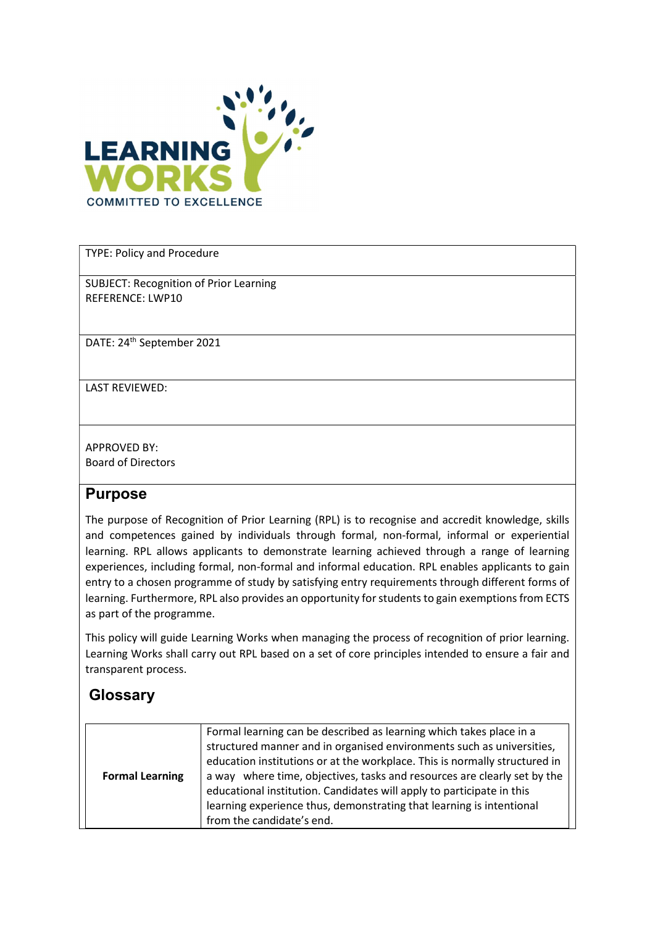

TYPE: Policy and Procedure

SUBJECT: Recognition of Prior Learning REFERENCE: LWP10

DATE: 24th September 2021

LAST REVIEWED:

APPROVED BY: Board of Directors

## Purpose

The purpose of Recognition of Prior Learning (RPL) is to recognise and accredit knowledge, skills and competences gained by individuals through formal, non-formal, informal or experiential learning. RPL allows applicants to demonstrate learning achieved through a range of learning experiences, including formal, non-formal and informal education. RPL enables applicants to gain entry to a chosen programme of study by satisfying entry requirements through different forms of learning. Furthermore, RPL also provides an opportunity for students to gain exemptions from ECTS as part of the programme.

This policy will guide Learning Works when managing the process of recognition of prior learning. Learning Works shall carry out RPL based on a set of core principles intended to ensure a fair and transparent process.

## **Glossary**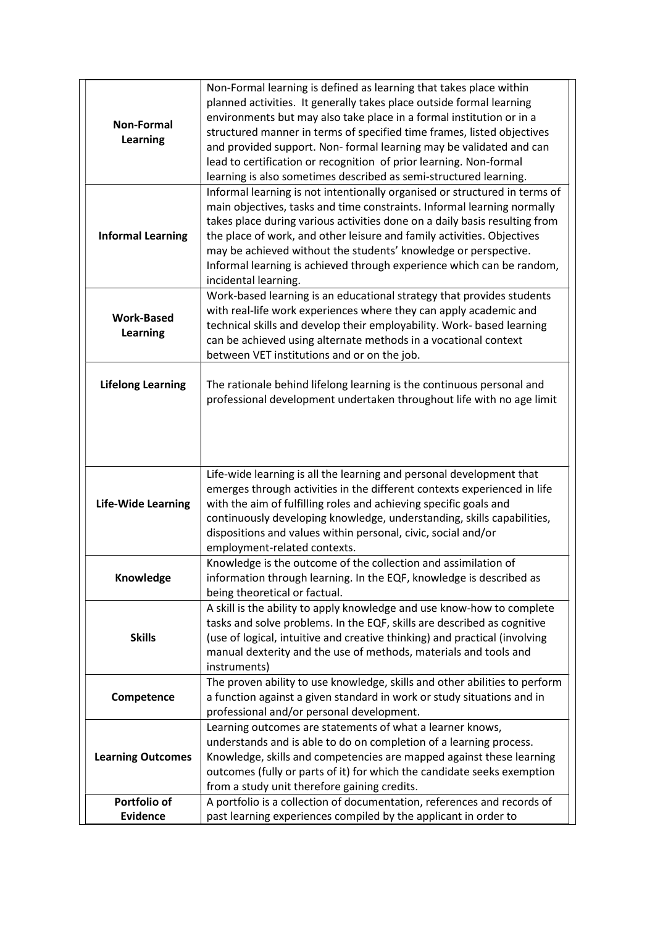| <b>Non-Formal</b><br><b>Learning</b> | Non-Formal learning is defined as learning that takes place within<br>planned activities. It generally takes place outside formal learning<br>environments but may also take place in a formal institution or in a<br>structured manner in terms of specified time frames, listed objectives<br>and provided support. Non-formal learning may be validated and can<br>lead to certification or recognition of prior learning. Non-formal<br>learning is also sometimes described as semi-structured learning. |
|--------------------------------------|---------------------------------------------------------------------------------------------------------------------------------------------------------------------------------------------------------------------------------------------------------------------------------------------------------------------------------------------------------------------------------------------------------------------------------------------------------------------------------------------------------------|
| <b>Informal Learning</b>             | Informal learning is not intentionally organised or structured in terms of<br>main objectives, tasks and time constraints. Informal learning normally<br>takes place during various activities done on a daily basis resulting from<br>the place of work, and other leisure and family activities. Objectives<br>may be achieved without the students' knowledge or perspective.<br>Informal learning is achieved through experience which can be random,<br>incidental learning.                             |
| <b>Work-Based</b><br><b>Learning</b> | Work-based learning is an educational strategy that provides students<br>with real-life work experiences where they can apply academic and<br>technical skills and develop their employability. Work- based learning<br>can be achieved using alternate methods in a vocational context<br>between VET institutions and or on the job.                                                                                                                                                                        |
| <b>Lifelong Learning</b>             | The rationale behind lifelong learning is the continuous personal and<br>professional development undertaken throughout life with no age limit                                                                                                                                                                                                                                                                                                                                                                |
| <b>Life-Wide Learning</b>            | Life-wide learning is all the learning and personal development that<br>emerges through activities in the different contexts experienced in life<br>with the aim of fulfilling roles and achieving specific goals and<br>continuously developing knowledge, understanding, skills capabilities,<br>dispositions and values within personal, civic, social and/or<br>employment-related contexts.                                                                                                              |
| Knowledge                            | Knowledge is the outcome of the collection and assimilation of<br>information through learning. In the EQF, knowledge is described as<br>being theoretical or factual.                                                                                                                                                                                                                                                                                                                                        |
| <b>Skills</b>                        | A skill is the ability to apply knowledge and use know-how to complete<br>tasks and solve problems. In the EQF, skills are described as cognitive<br>(use of logical, intuitive and creative thinking) and practical (involving<br>manual dexterity and the use of methods, materials and tools and<br>instruments)                                                                                                                                                                                           |
| Competence                           | The proven ability to use knowledge, skills and other abilities to perform<br>a function against a given standard in work or study situations and in<br>professional and/or personal development.                                                                                                                                                                                                                                                                                                             |
| <b>Learning Outcomes</b>             | Learning outcomes are statements of what a learner knows,<br>understands and is able to do on completion of a learning process.<br>Knowledge, skills and competencies are mapped against these learning<br>outcomes (fully or parts of it) for which the candidate seeks exemption<br>from a study unit therefore gaining credits.                                                                                                                                                                            |
| Portfolio of                         | A portfolio is a collection of documentation, references and records of                                                                                                                                                                                                                                                                                                                                                                                                                                       |
| <b>Evidence</b>                      | past learning experiences compiled by the applicant in order to                                                                                                                                                                                                                                                                                                                                                                                                                                               |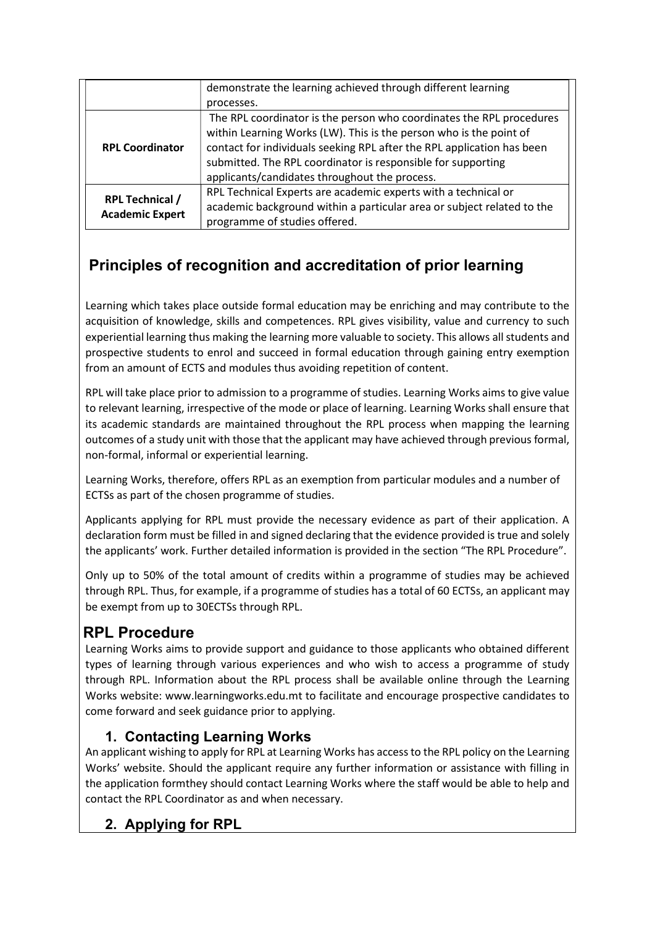|                                                  | demonstrate the learning achieved through different learning           |
|--------------------------------------------------|------------------------------------------------------------------------|
|                                                  | processes.                                                             |
| <b>RPL Coordinator</b>                           | The RPL coordinator is the person who coordinates the RPL procedures   |
|                                                  | within Learning Works (LW). This is the person who is the point of     |
|                                                  | contact for individuals seeking RPL after the RPL application has been |
|                                                  | submitted. The RPL coordinator is responsible for supporting           |
|                                                  | applicants/candidates throughout the process.                          |
| <b>RPL Technical /</b><br><b>Academic Expert</b> | RPL Technical Experts are academic experts with a technical or         |
|                                                  | academic background within a particular area or subject related to the |
|                                                  | programme of studies offered.                                          |

# Principles of recognition and accreditation of prior learning

Learning which takes place outside formal education may be enriching and may contribute to the acquisition of knowledge, skills and competences. RPL gives visibility, value and currency to such experiential learning thus making the learning more valuable to society. This allows all students and prospective students to enrol and succeed in formal education through gaining entry exemption from an amount of ECTS and modules thus avoiding repetition of content.

RPL will take place prior to admission to a programme of studies. Learning Works aims to give value to relevant learning, irrespective of the mode or place of learning. Learning Works shall ensure that its academic standards are maintained throughout the RPL process when mapping the learning outcomes of a study unit with those that the applicant may have achieved through previous formal, non-formal, informal or experiential learning.

Learning Works, therefore, offers RPL as an exemption from particular modules and a number of ECTSs as part of the chosen programme of studies.

Applicants applying for RPL must provide the necessary evidence as part of their application. A declaration form must be filled in and signed declaring that the evidence provided is true and solely the applicants' work. Further detailed information is provided in the section "The RPL Procedure".

Only up to 50% of the total amount of credits within a programme of studies may be achieved through RPL. Thus, for example, if a programme of studies has a total of 60 ECTSs, an applicant may be exempt from up to 30ECTSs through RPL.

# **RPL Procedure**

Learning Works aims to provide support and guidance to those applicants who obtained different types of learning through various experiences and who wish to access a programme of study through RPL. Information about the RPL process shall be available online through the Learning Works website: www.learningworks.edu.mt to facilitate and encourage prospective candidates to come forward and seek guidance prior to applying.

# 1. Contacting Learning Works

An applicant wishing to apply for RPL at Learning Works has access to the RPL policy on the Learning Works' website. Should the applicant require any further information or assistance with filling in the application formthey should contact Learning Works where the staff would be able to help and contact the RPL Coordinator as and when necessary.

# 2. Applying for RPL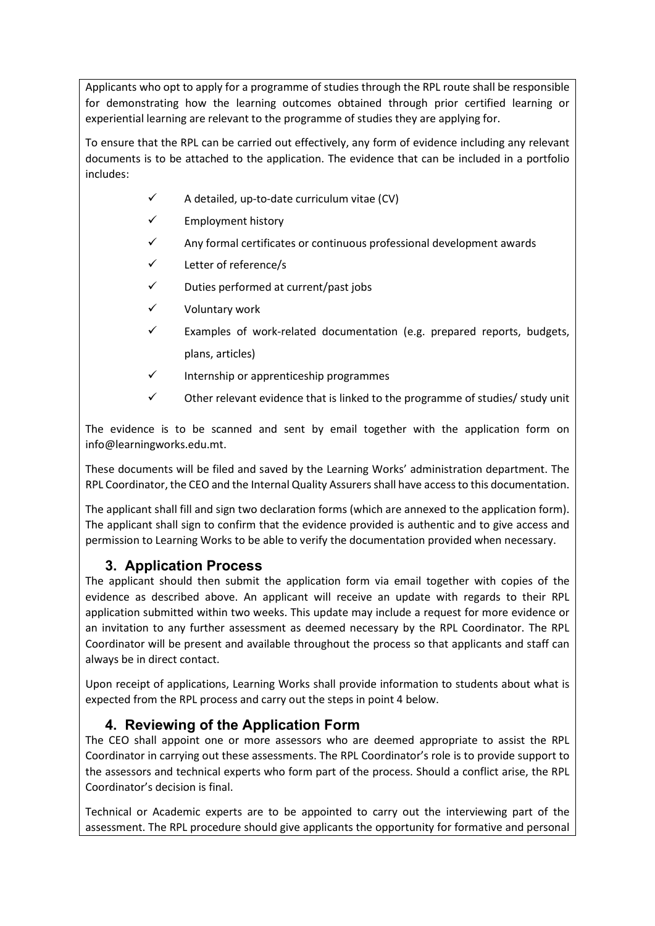Applicants who opt to apply for a programme of studies through the RPL route shall be responsible for demonstrating how the learning outcomes obtained through prior certified learning or experiential learning are relevant to the programme of studies they are applying for.

To ensure that the RPL can be carried out effectively, any form of evidence including any relevant documents is to be attached to the application. The evidence that can be included in a portfolio includes:

- $\checkmark$  A detailed, up-to-date curriculum vitae (CV)
- $\checkmark$  Employment history
- $\checkmark$  Any formal certificates or continuous professional development awards
- $\checkmark$  Letter of reference/s
- $\checkmark$  Duties performed at current/past jobs
- $\checkmark$  Voluntary work
- $\checkmark$  Examples of work-related documentation (e.g. prepared reports, budgets, plans, articles)
- $\checkmark$  Internship or apprenticeship programmes
- $\checkmark$  Other relevant evidence that is linked to the programme of studies/ study unit

The evidence is to be scanned and sent by email together with the application form on info@learningworks.edu.mt.

These documents will be filed and saved by the Learning Works' administration department. The RPL Coordinator, the CEO and the Internal Quality Assurers shall have access to this documentation.

The applicant shall fill and sign two declaration forms (which are annexed to the application form). The applicant shall sign to confirm that the evidence provided is authentic and to give access and permission to Learning Works to be able to verify the documentation provided when necessary.

#### 3. Application Process

The applicant should then submit the application form via email together with copies of the evidence as described above. An applicant will receive an update with regards to their RPL application submitted within two weeks. This update may include a request for more evidence or an invitation to any further assessment as deemed necessary by the RPL Coordinator. The RPL Coordinator will be present and available throughout the process so that applicants and staff can always be in direct contact.

Upon receipt of applications, Learning Works shall provide information to students about what is expected from the RPL process and carry out the steps in point 4 below.

#### 4. Reviewing of the Application Form

The CEO shall appoint one or more assessors who are deemed appropriate to assist the RPL Coordinator in carrying out these assessments. The RPL Coordinator's role is to provide support to the assessors and technical experts who form part of the process. Should a conflict arise, the RPL Coordinator's decision is final.

Technical or Academic experts are to be appointed to carry out the interviewing part of the assessment. The RPL procedure should give applicants the opportunity for formative and personal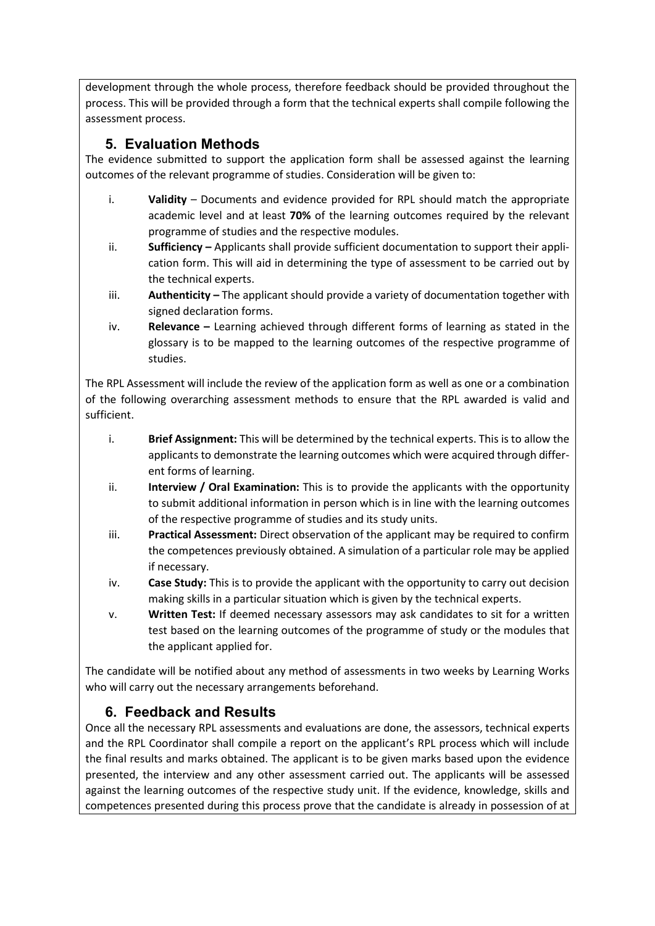development through the whole process, therefore feedback should be provided throughout the process. This will be provided through a form that the technical experts shall compile following the assessment process.

# 5. Evaluation Methods

The evidence submitted to support the application form shall be assessed against the learning outcomes of the relevant programme of studies. Consideration will be given to:

- i. Validity Documents and evidence provided for RPL should match the appropriate academic level and at least 70% of the learning outcomes required by the relevant programme of studies and the respective modules.
- ii. **Sufficiency** Applicants shall provide sufficient documentation to support their application form. This will aid in determining the type of assessment to be carried out by the technical experts.
- iii. **Authenticity** The applicant should provide a variety of documentation together with signed declaration forms.
- iv. Relevance Learning achieved through different forms of learning as stated in the glossary is to be mapped to the learning outcomes of the respective programme of studies.

The RPL Assessment will include the review of the application form as well as one or a combination of the following overarching assessment methods to ensure that the RPL awarded is valid and sufficient.

- i. Brief Assignment: This will be determined by the technical experts. This is to allow the applicants to demonstrate the learning outcomes which were acquired through different forms of learning.
- ii. Interview / Oral Examination: This is to provide the applicants with the opportunity to submit additional information in person which is in line with the learning outcomes of the respective programme of studies and its study units.
- iii. Practical Assessment: Direct observation of the applicant may be required to confirm the competences previously obtained. A simulation of a particular role may be applied if necessary.
- iv. Case Study: This is to provide the applicant with the opportunity to carry out decision making skills in a particular situation which is given by the technical experts.
- v. Written Test: If deemed necessary assessors may ask candidates to sit for a written test based on the learning outcomes of the programme of study or the modules that the applicant applied for.

The candidate will be notified about any method of assessments in two weeks by Learning Works who will carry out the necessary arrangements beforehand.

## 6. Feedback and Results

Once all the necessary RPL assessments and evaluations are done, the assessors, technical experts and the RPL Coordinator shall compile a report on the applicant's RPL process which will include the final results and marks obtained. The applicant is to be given marks based upon the evidence presented, the interview and any other assessment carried out. The applicants will be assessed against the learning outcomes of the respective study unit. If the evidence, knowledge, skills and competences presented during this process prove that the candidate is already in possession of at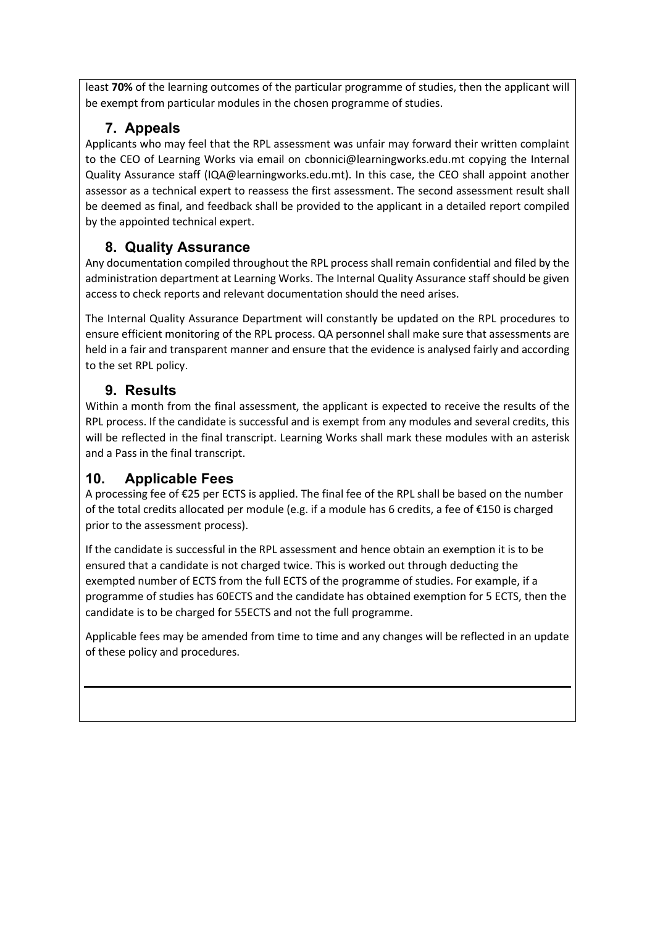least 70% of the learning outcomes of the particular programme of studies, then the applicant will be exempt from particular modules in the chosen programme of studies.

# 7. Appeals

Applicants who may feel that the RPL assessment was unfair may forward their written complaint to the CEO of Learning Works via email on cbonnici@learningworks.edu.mt copying the Internal Quality Assurance staff (IQA@learningworks.edu.mt). In this case, the CEO shall appoint another assessor as a technical expert to reassess the first assessment. The second assessment result shall be deemed as final, and feedback shall be provided to the applicant in a detailed report compiled by the appointed technical expert.

# 8. Quality Assurance

Any documentation compiled throughout the RPL process shall remain confidential and filed by the administration department at Learning Works. The Internal Quality Assurance staff should be given access to check reports and relevant documentation should the need arises.

The Internal Quality Assurance Department will constantly be updated on the RPL procedures to ensure efficient monitoring of the RPL process. QA personnel shall make sure that assessments are held in a fair and transparent manner and ensure that the evidence is analysed fairly and according to the set RPL policy.

# 9. Results

Within a month from the final assessment, the applicant is expected to receive the results of the RPL process. If the candidate is successful and is exempt from any modules and several credits, this will be reflected in the final transcript. Learning Works shall mark these modules with an asterisk and a Pass in the final transcript.

# 10. Applicable Fees

A processing fee of €25 per ECTS is applied. The final fee of the RPL shall be based on the number of the total credits allocated per module (e.g. if a module has 6 credits, a fee of €150 is charged prior to the assessment process).

If the candidate is successful in the RPL assessment and hence obtain an exemption it is to be ensured that a candidate is not charged twice. This is worked out through deducting the exempted number of ECTS from the full ECTS of the programme of studies. For example, if a programme of studies has 60ECTS and the candidate has obtained exemption for 5 ECTS, then the candidate is to be charged for 55ECTS and not the full programme.

Applicable fees may be amended from time to time and any changes will be reflected in an update of these policy and procedures.